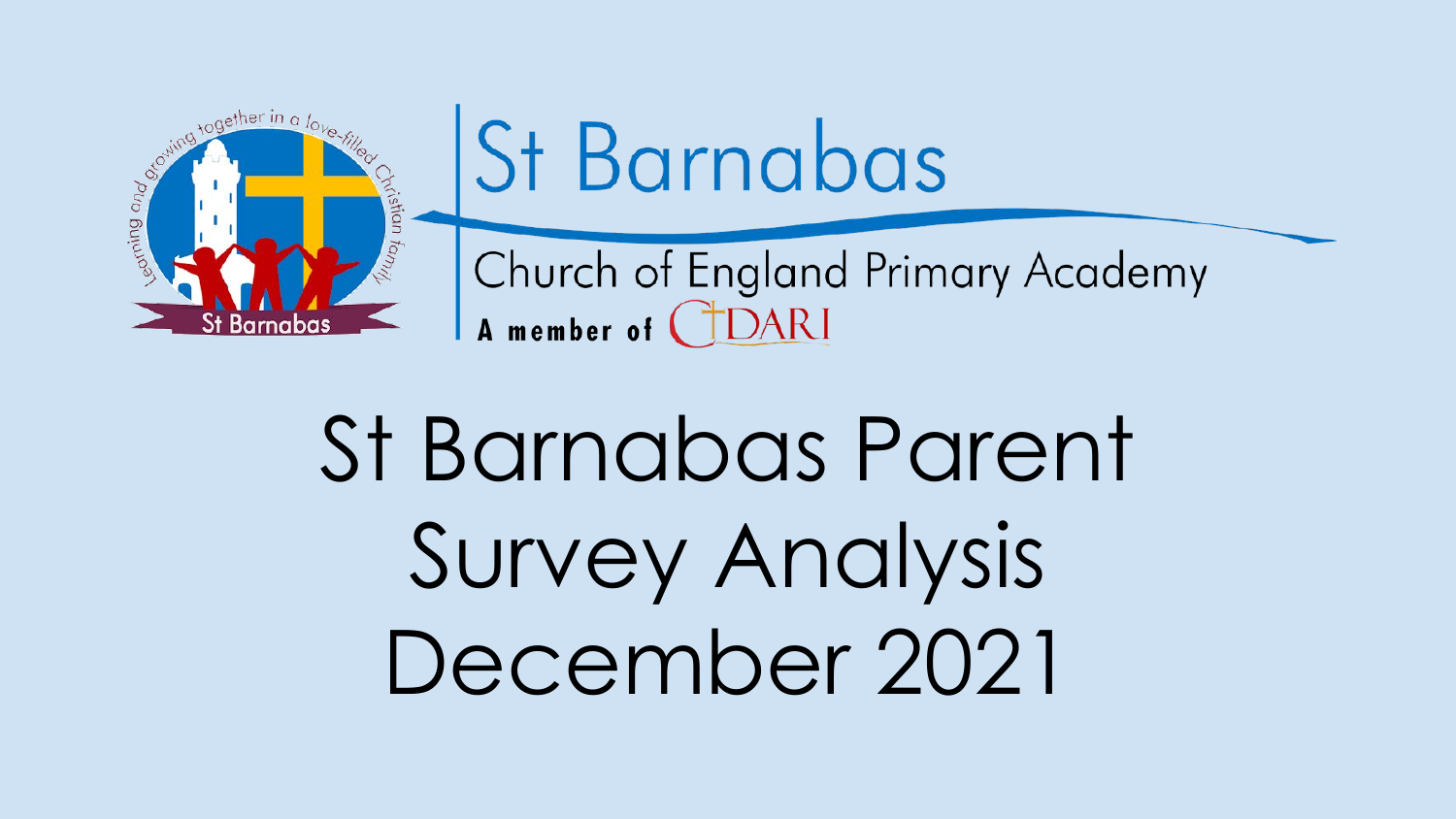



Church of England Primary Academy A member of CIDARI

St Barnabas Parent Survey Analysis December 2021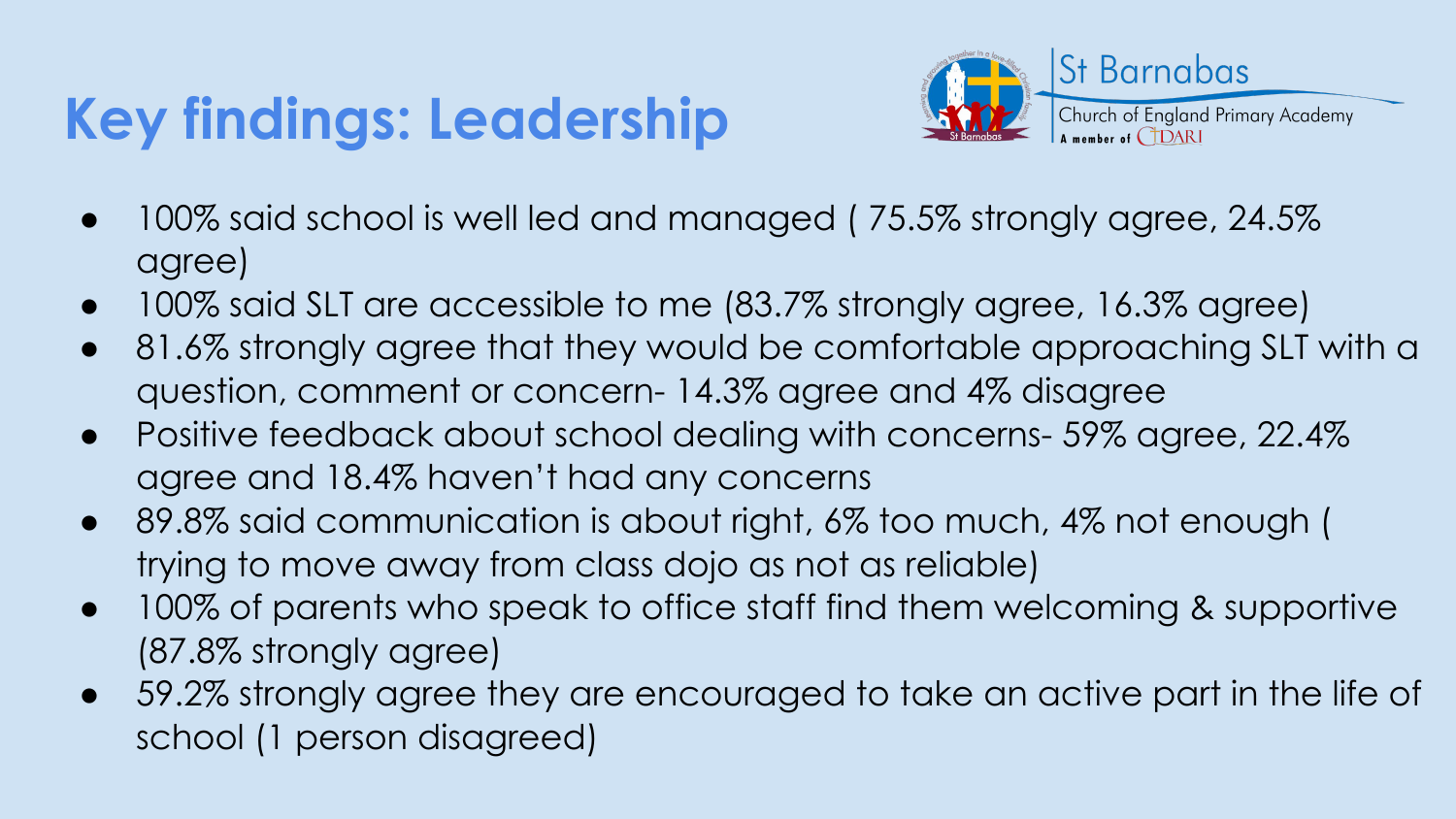# **Key findings: Leadership**



- 100% said school is well led and managed (75.5% strongly agree, 24.5% agree)
- 100% said SLT are accessible to me (83.7% strongly agree, 16.3% agree)
- 81.6% strongly agree that they would be comfortable approaching SLT with a question, comment or concern- 14.3% agree and 4% disagree
- Positive feedback about school dealing with concerns- 59% agree, 22.4% agree and 18.4% haven't had any concerns
- 89.8% said communication is about right, 6% too much, 4% not enough ( trying to move away from class dojo as not as reliable)
- 100% of parents who speak to office staff find them welcoming & supportive (87.8% strongly agree)
- 59.2% strongly agree they are encouraged to take an active part in the life of school (1 person disagreed)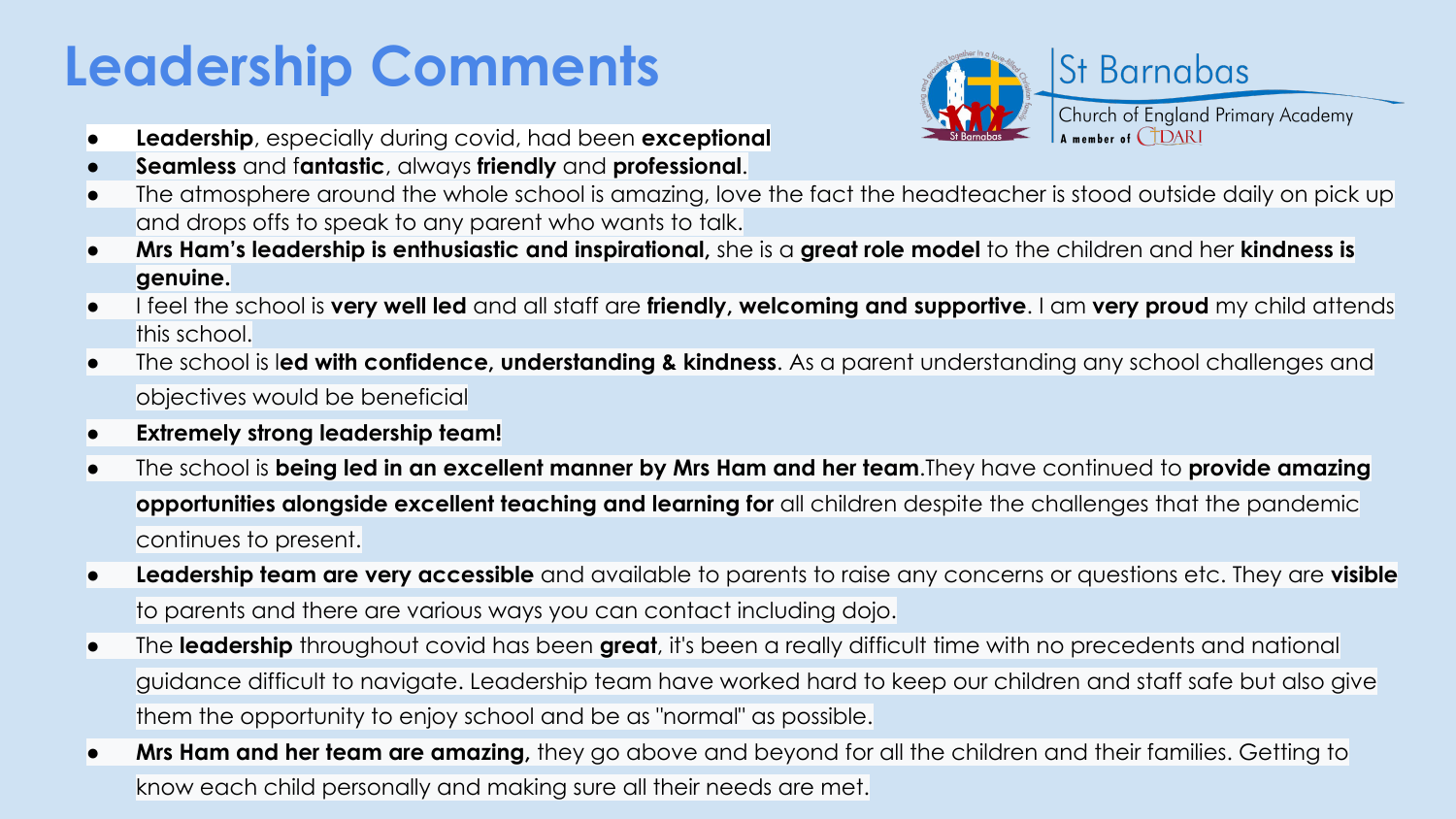# **Leadership Comments**



- **Leadership**, especially during covid, had been **exceptional**
- **Seamless** and f**antastic**, always **friendly** and **professional**.
- The atmosphere around the whole school is amazing, love the fact the headteacher is stood outside daily on pick up and drops offs to speak to any parent who wants to talk.
- **Mrs Ham's leadership is enthusiastic and inspirational,** she is a **great role model** to the children and her **kindness is genuine.**
- I feel the school is **very well led** and all staff are **friendly, welcoming and supportive**. I am **very proud** my child attends this school.
- The school is l**ed with confidence, understanding & kindness**. As a parent understanding any school challenges and objectives would be beneficial
- **● Extremely strong leadership team!**
- The school is **being led in an excellent manner by Mrs Ham and her team**.They have continued to **provide amazing opportunities alongside excellent teaching and learning for** all children despite the challenges that the pandemic continues to present.
- **Leadership team are very accessible** and available to parents to raise any concerns or questions etc. They are **visible** to parents and there are various ways you can contact including dojo.
- The **leadership** throughout covid has been **great**, it's been a really difficult time with no precedents and national guidance difficult to navigate. Leadership team have worked hard to keep our children and staff safe but also give them the opportunity to enjoy school and be as "normal" as possible.
- **Mrs Ham and her team are amazing,** they go above and beyond for all the children and their families. Getting to know each child personally and making sure all their needs are met.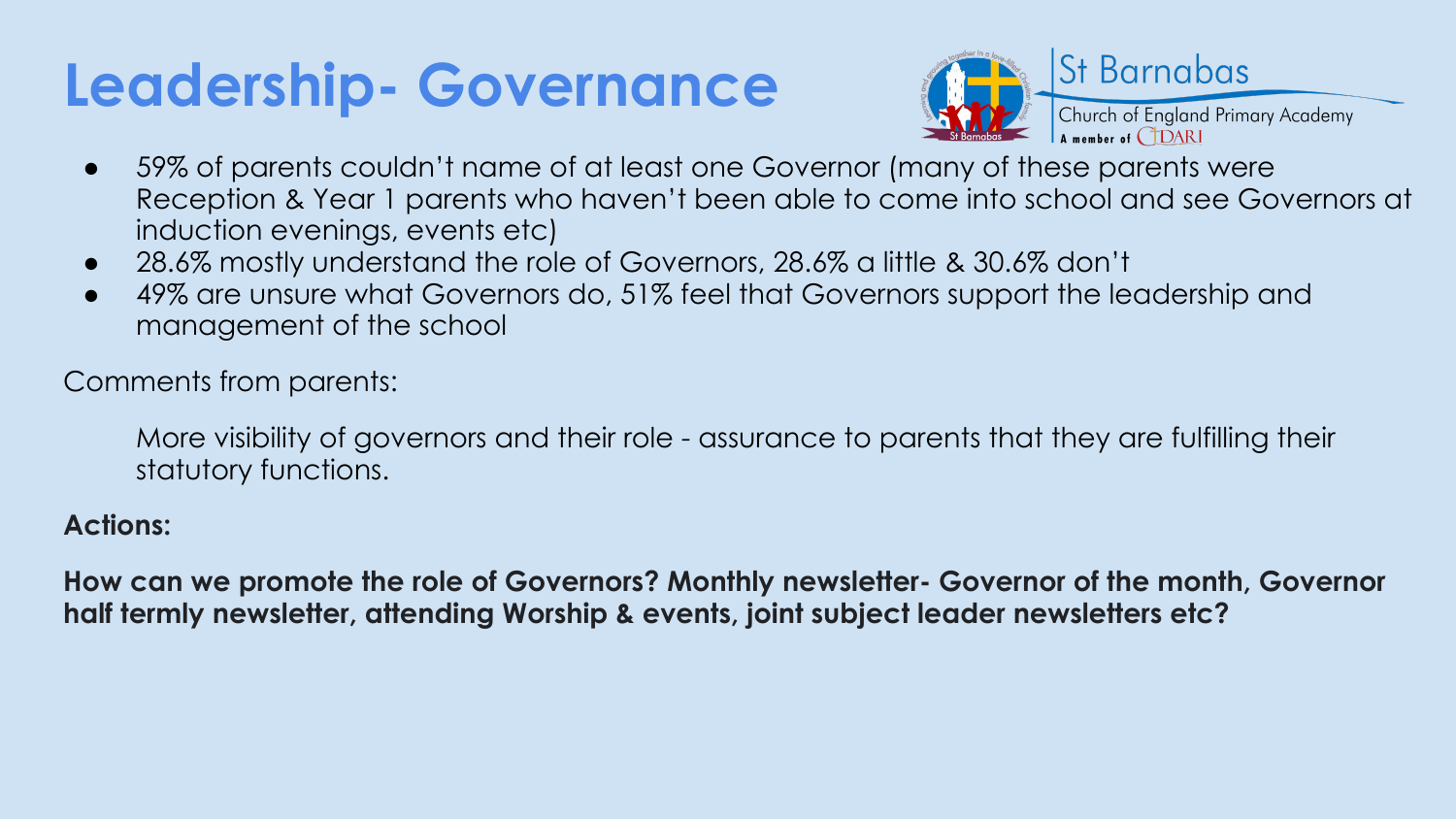# **Leadership- Governance**



- 59% of parents couldn't name of at least one Governor (many of these parents were Reception & Year 1 parents who haven't been able to come into school and see Governors at induction evenings, events etc)
- 28.6% mostly understand the role of Governors, 28.6% a little & 30.6% don't
- 49% are unsure what Governors do, 51% feel that Governors support the leadership and management of the school

Comments from parents:

More visibility of governors and their role - assurance to parents that they are fulfilling their statutory functions.

#### **Actions:**

**How can we promote the role of Governors? Monthly newsletter- Governor of the month, Governor half termly newsletter, attending Worship & events, joint subject leader newsletters etc?**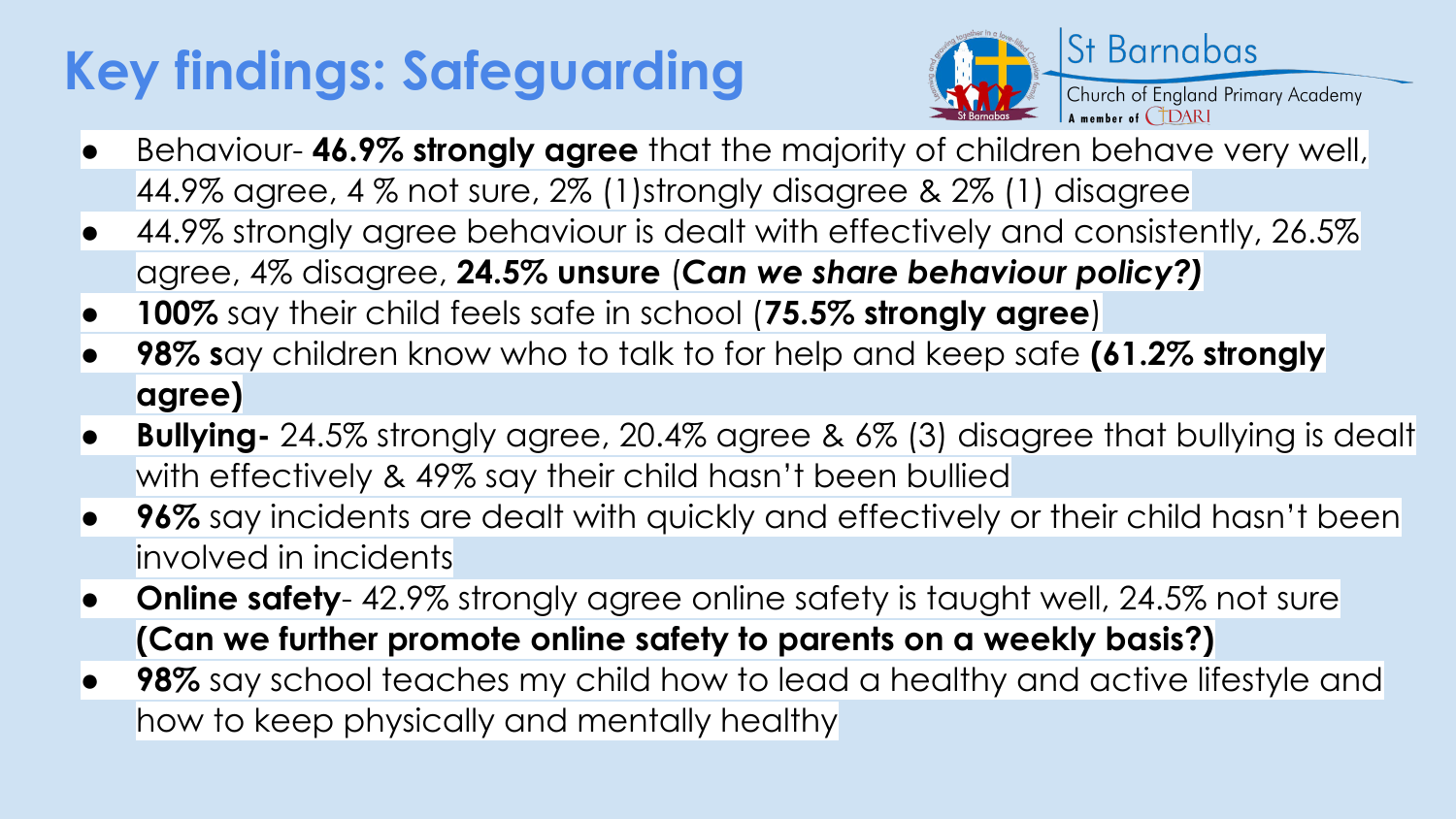# **Key findings: Safeguarding**



- Behaviour- **46.9% strongly agree** that the majority of children behave very well, 44.9% agree, 4 % not sure, 2% (1)strongly disagree & 2% (1) disagree
- 44.9% strongly agree behaviour is dealt with effectively and consistently, 26.5% agree, 4% disagree, **24.5% unsure** (*Can we share behaviour policy?)*
- **100%** say their child feels safe in school (**75.5% strongly agree**)
- **● 98% s**ay children know who to talk to for help and keep safe **(61.2% strongly agree)**
- **● Bullying-** 24.5% strongly agree, 20.4% agree & 6% (3) disagree that bullying is dealt with effectively & 49% say their child hasn't been bullied
- **96%** say incidents are dealt with quickly and effectively or their child hasn't been involved in incidents
- **Online safety** 42.9% strongly agree online safety is taught well, 24.5% not sure **(Can we further promote online safety to parents on a weekly basis?)**
- **● 98%** say school teaches my child how to lead a healthy and active lifestyle and how to keep physically and mentally healthy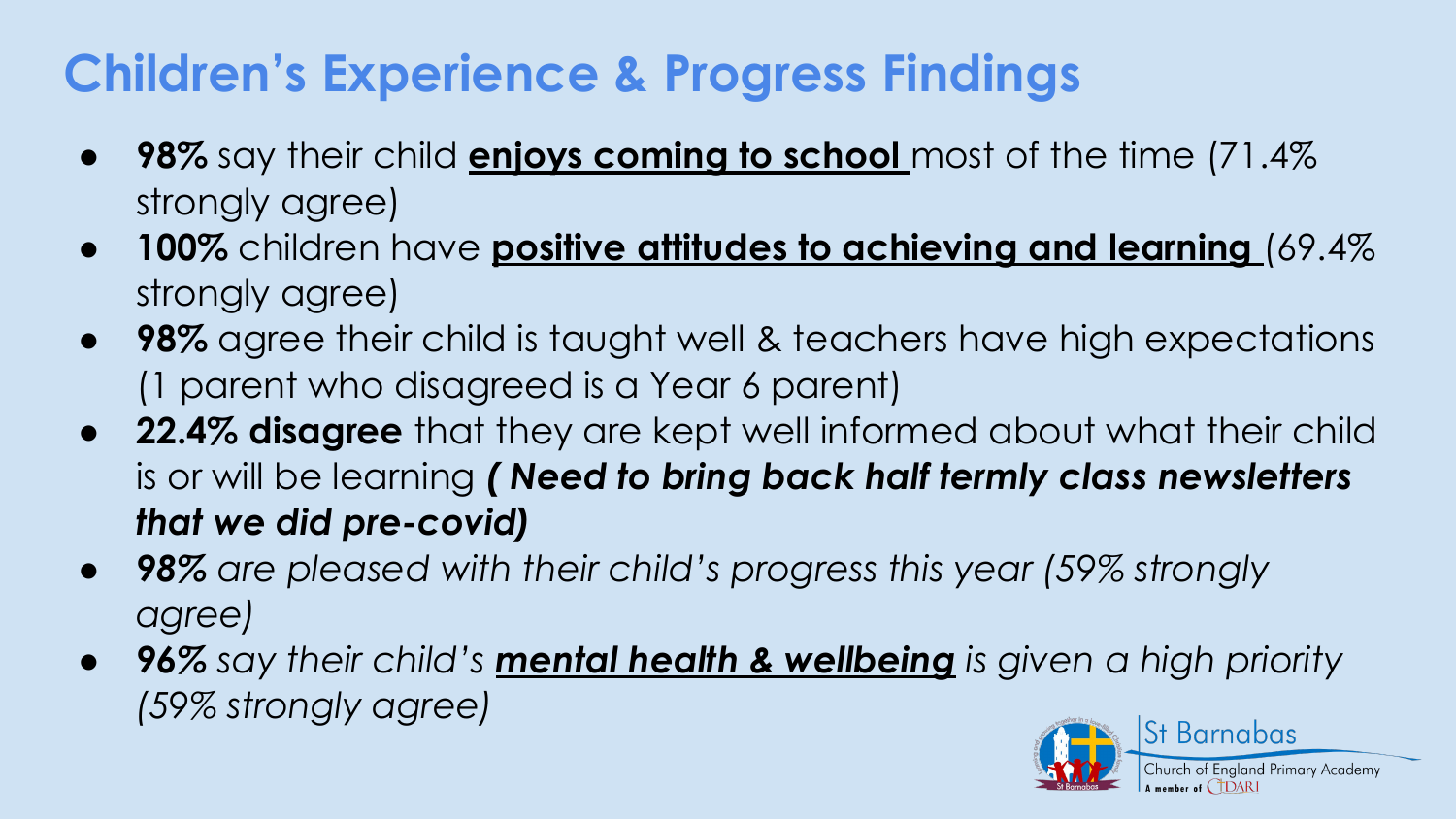### **Children's Experience & Progress Findings**

- **98%** say their child **enjoys coming to school** most of the time (71.4% strongly agree)
- **100%** children have **positive attitudes to achieving and learning** (69.4% strongly agree)
- **98%** agree their child is taught well & teachers have high expectations (1 parent who disagreed is a Year 6 parent)
- **22.4% disagree** that they are kept well informed about what their child is or will be learning *( Need to bring back half termly class newsletters that we did pre-covid)*
- *● 98% are pleased with their child's progress this year (59% strongly agree)*
- *● 96% say their child's mental health & wellbeing is given a high priority (59% strongly agree)*

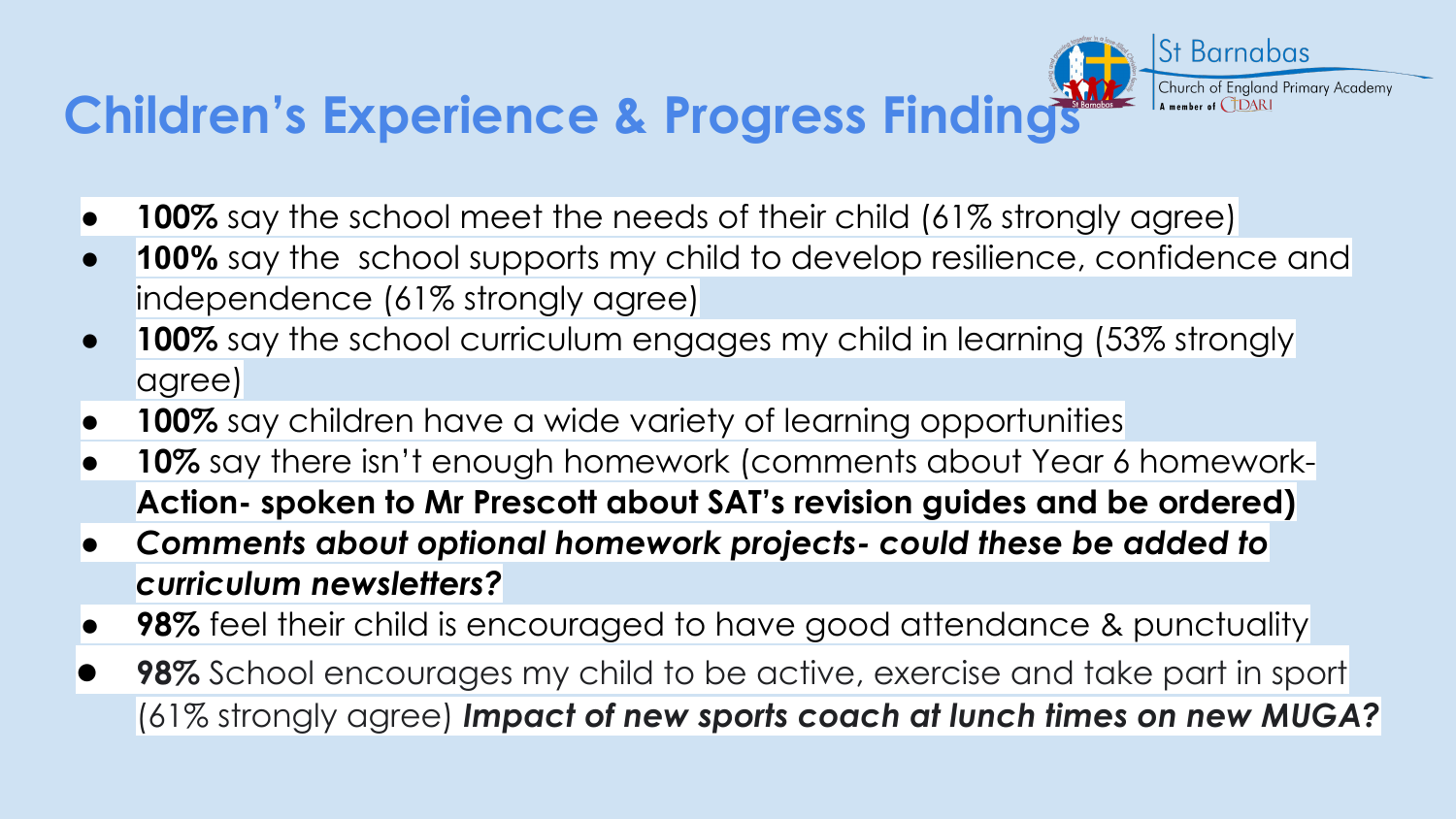## **Children's Experience & Progress Findings**

- **100%** say the school meet the needs of their child (61% strongly agree)
- **100%** say the school supports my child to develop resilience, confidence and independence (61% strongly agree)

**St Barnabas** 

Church of England Primary Academy

- **100%** say the school curriculum engages my child in learning (53% strongly agree)
- **100%** say children have a wide variety of learning opportunities
- **10%** say there isn't enough homework (comments about Year 6 homework-**Action- spoken to Mr Prescott about SAT's revision guides and be ordered)**
- *● Comments about optional homework projects- could these be added to curriculum newsletters?*
- **● 98%** feel their child is encouraged to have good attendance & punctuality
- **98%** School encourages my child to be active, exercise and take part in sport (61% strongly agree) *Impact of new sports coach at lunch times on new MUGA?*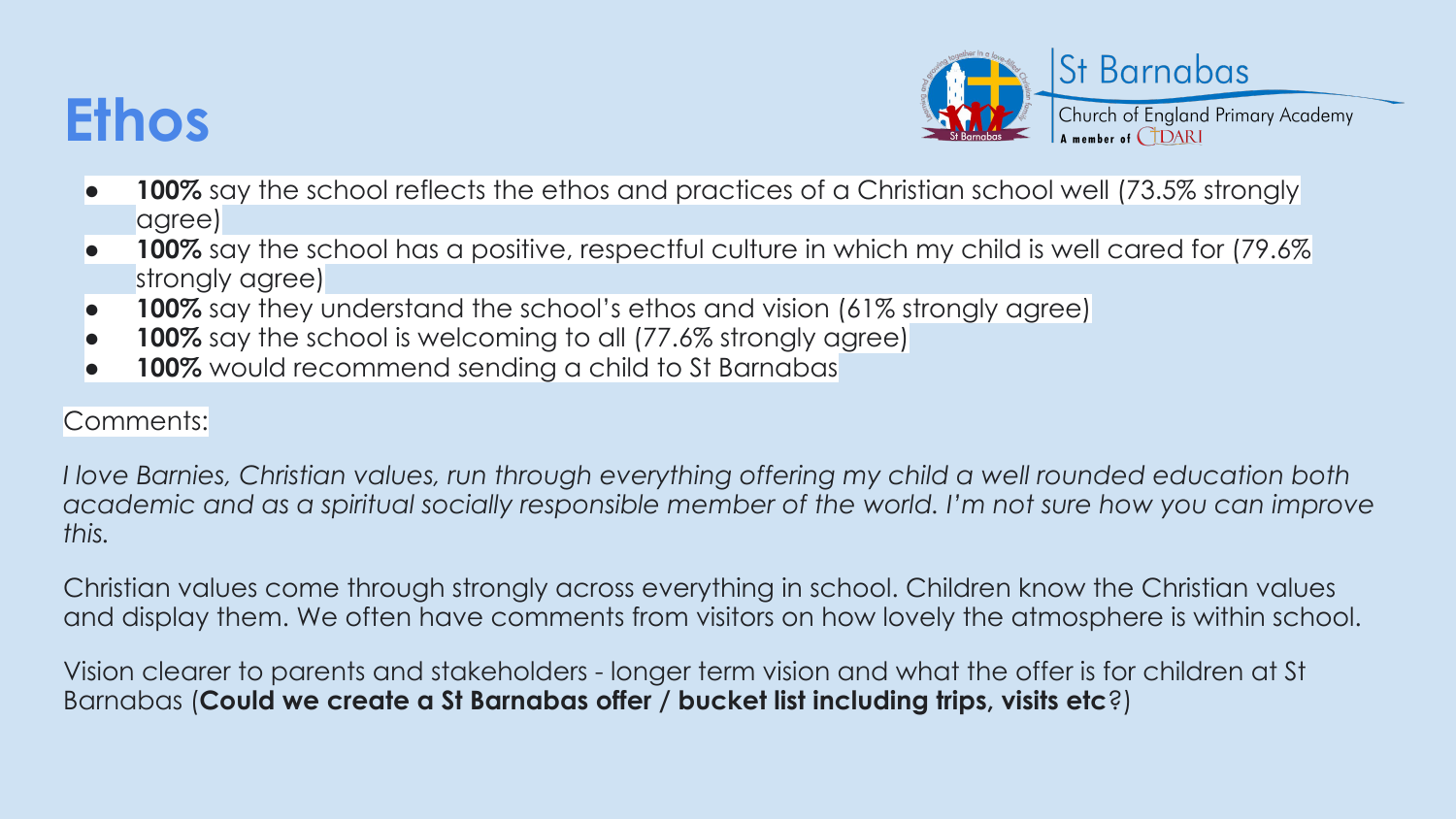## **Ethos**



- **100%** say the school reflects the ethos and practices of a Christian school well (73.5% strongly agree)
- **100%** say the school has a positive, respectful culture in which my child is well cared for (79.6%) strongly agree)
- **100%** say they understand the school's ethos and vision (61% strongly agree)
- **100%** say the school is welcoming to all (77.6% strongly agree)
- **100%** would recommend sending a child to St Barnabas

#### Comments:

*I love Barnies, Christian values, run through everything offering my child a well rounded education both academic and as a spiritual socially responsible member of the world. I'm not sure how you can improve this.*

Christian values come through strongly across everything in school. Children know the Christian values and display them. We often have comments from visitors on how lovely the atmosphere is within school.

Vision clearer to parents and stakeholders - longer term vision and what the offer is for children at St Barnabas (**Could we create a St Barnabas offer / bucket list including trips, visits etc**?)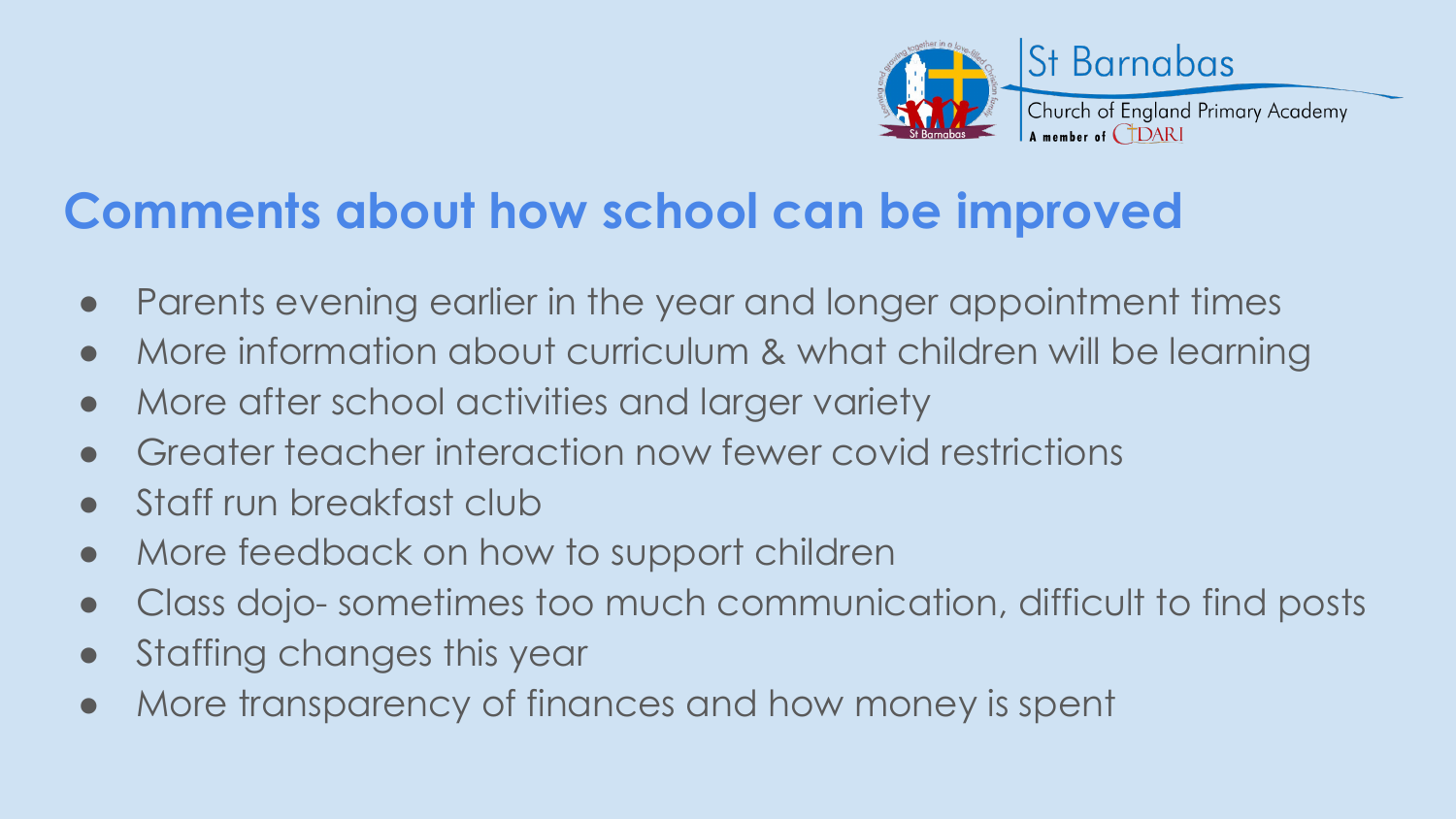

#### **Comments about how school can be improved**

- Parents evening earlier in the year and longer appointment times
- More information about curriculum & what children will be learning
- More after school activities and larger variety
- Greater teacher interaction now fewer covid restrictions
- Staff run breakfast club
- More feedback on how to support children
- Class dojo- sometimes too much communication, difficult to find posts
- Staffing changes this year
- More transparency of finances and how money is spent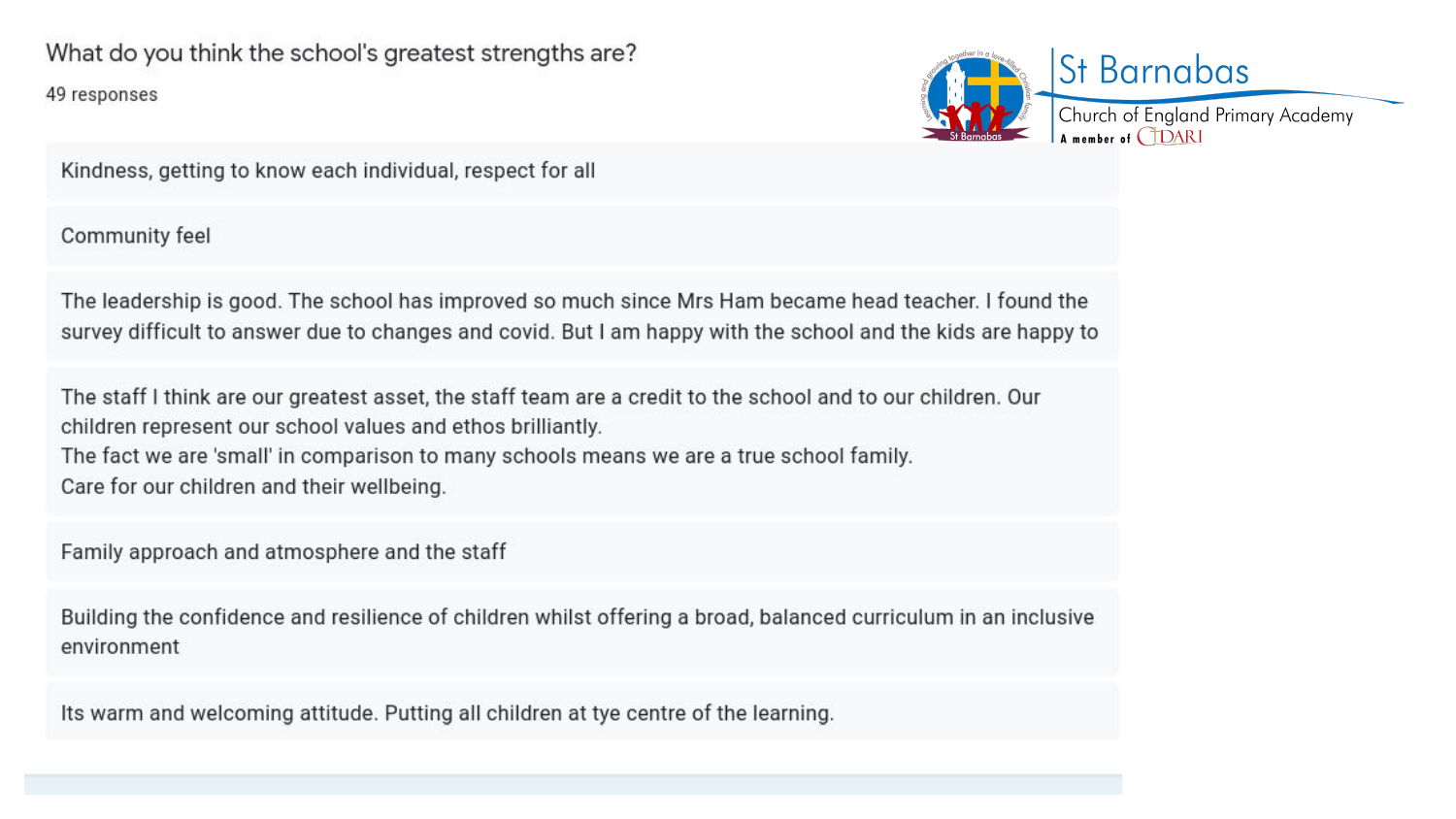49 responses



Kindness, getting to know each individual, respect for all

Community feel

The leadership is good. The school has improved so much since Mrs Ham became head teacher. I found the survey difficult to answer due to changes and covid. But I am happy with the school and the kids are happy to

The staff I think are our greatest asset, the staff team are a credit to the school and to our children. Our children represent our school values and ethos brilliantly.

The fact we are 'small' in comparison to many schools means we are a true school family. Care for our children and their wellbeing.

Family approach and atmosphere and the staff

Building the confidence and resilience of children whilst offering a broad, balanced curriculum in an inclusive environment

Its warm and welcoming attitude. Putting all children at tye centre of the learning.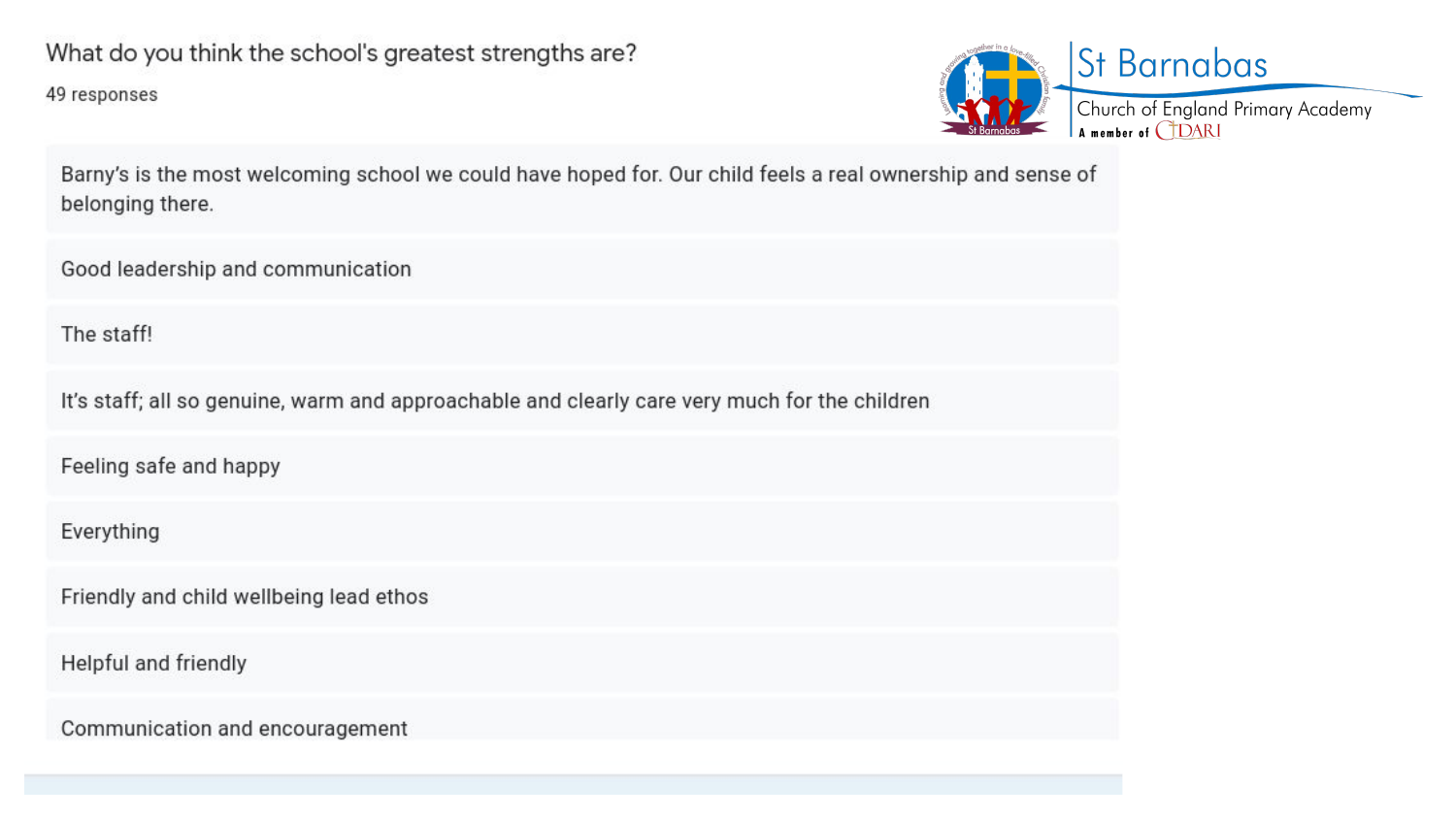49 responses



Barny's is the most welcoming school we could have hoped for. Our child feels a real ownership and sense of belonging there.

Good leadership and communication

The staff!

It's staff; all so genuine, warm and approachable and clearly care very much for the children

Feeling safe and happy

Everything

Friendly and child wellbeing lead ethos

Helpful and friendly

Communication and encouragement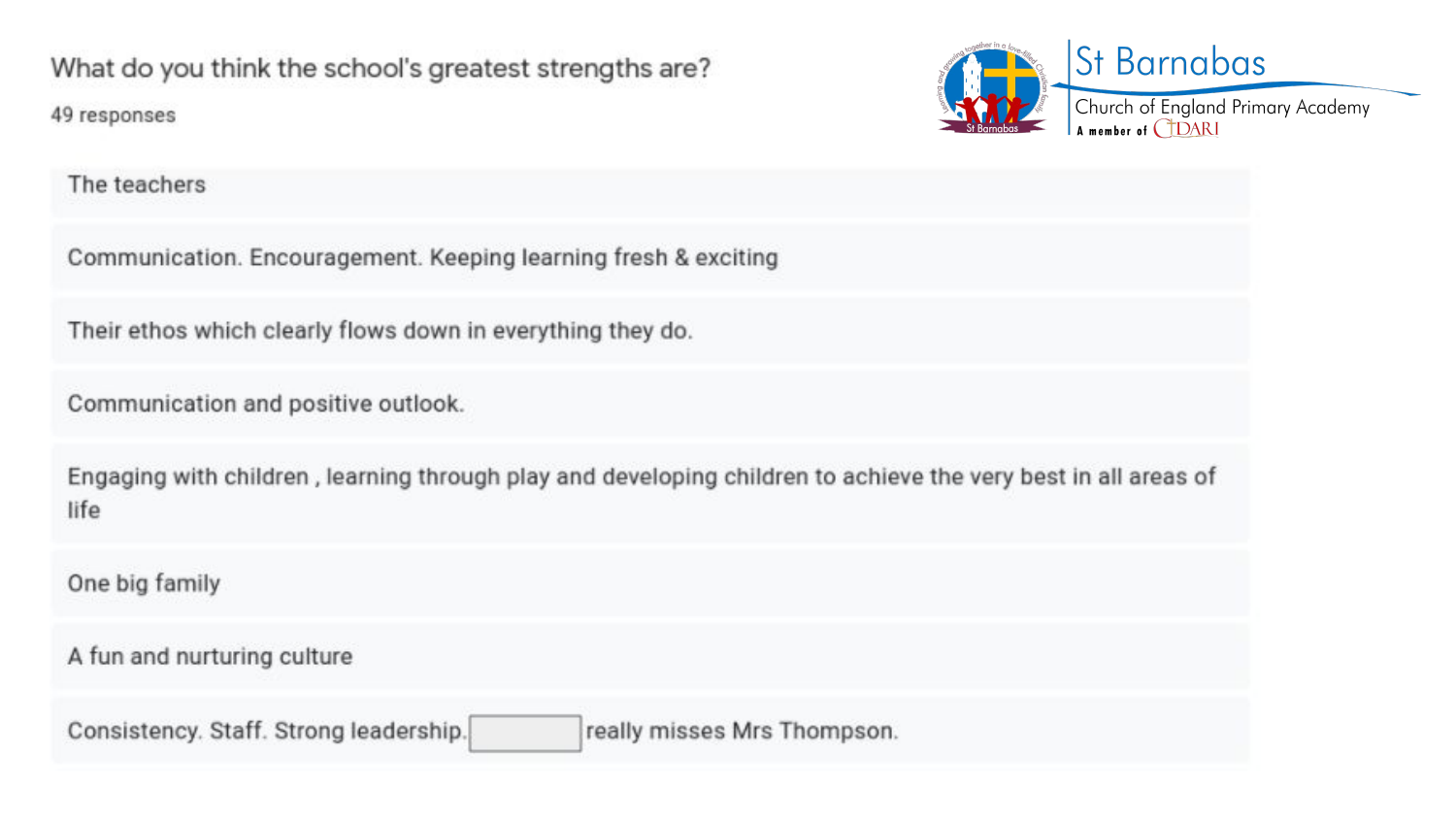What do you think the school's greatest strengths are? 49 responses



The teachers

Communication. Encouragement. Keeping learning fresh & exciting

Their ethos which clearly flows down in everything they do.

Communication and positive outlook.

Engaging with children, learning through play and developing children to achieve the very best in all areas of life

One big family

A fun and nurturing culture

Consistency. Staff. Strong leadership. really misses Mrs Thompson.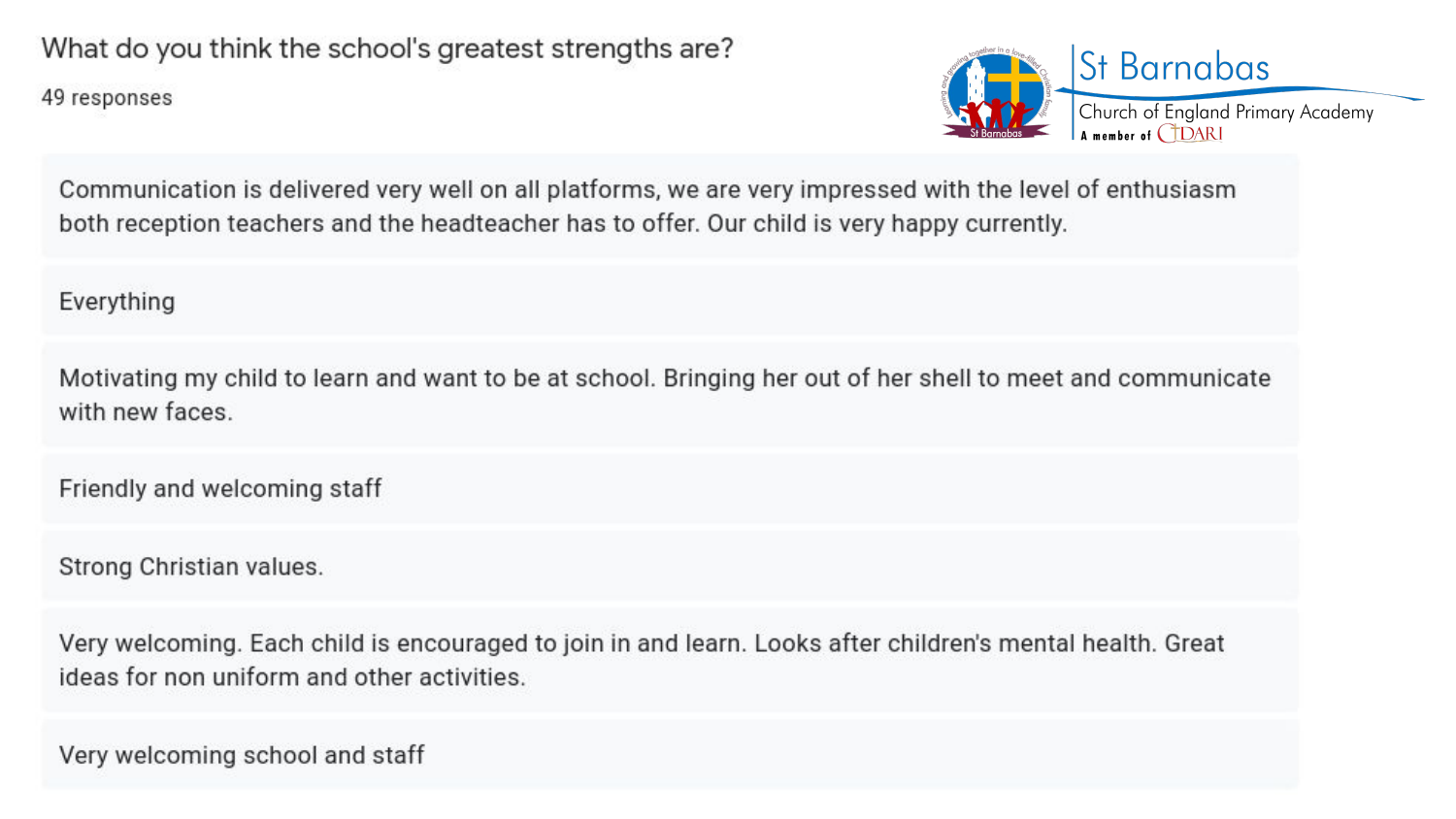49 responses



Communication is delivered very well on all platforms, we are very impressed with the level of enthusiasm both reception teachers and the headteacher has to offer. Our child is very happy currently.

Everything

Motivating my child to learn and want to be at school. Bringing her out of her shell to meet and communicate with new faces.

Friendly and welcoming staff

Strong Christian values.

Very welcoming. Each child is encouraged to join in and learn. Looks after children's mental health. Great ideas for non uniform and other activities.

Very welcoming school and staff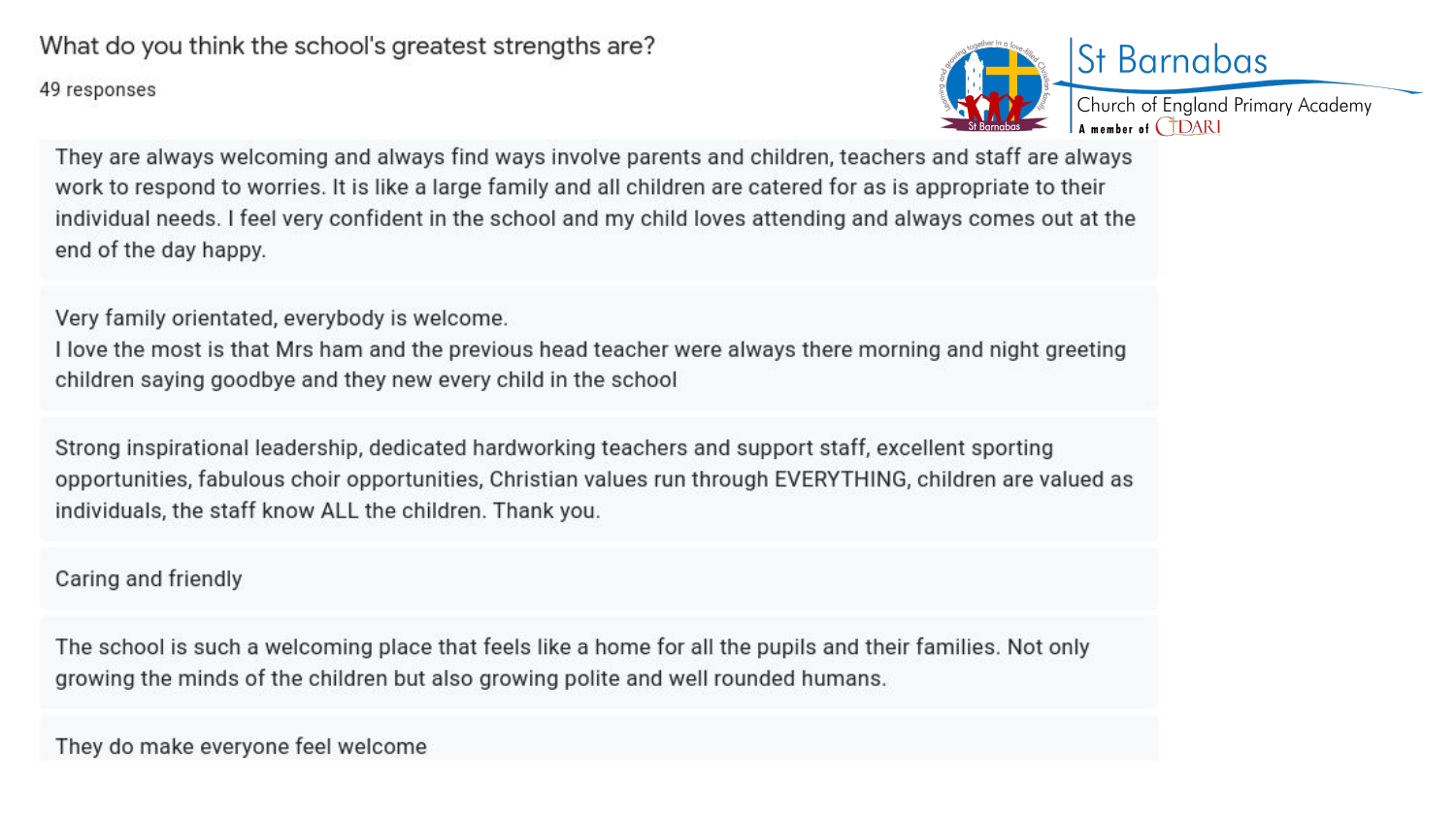49 responses



They are always welcoming and always find ways involve parents and children, teachers and staff are always work to respond to worries. It is like a large family and all children are catered for as is appropriate to their individual needs. I feel very confident in the school and my child loves attending and always comes out at the end of the day happy.

Very family orientated, everybody is welcome.

I love the most is that Mrs ham and the previous head teacher were always there morning and night greeting children saying goodbye and they new every child in the school

Strong inspirational leadership, dedicated hardworking teachers and support staff, excellent sporting opportunities, fabulous choir opportunities, Christian values run through EVERYTHING, children are valued as individuals, the staff know ALL the children. Thank you.

Caring and friendly

The school is such a welcoming place that feels like a home for all the pupils and their families. Not only growing the minds of the children but also growing polite and well rounded humans.

They do make everyone feel welcome